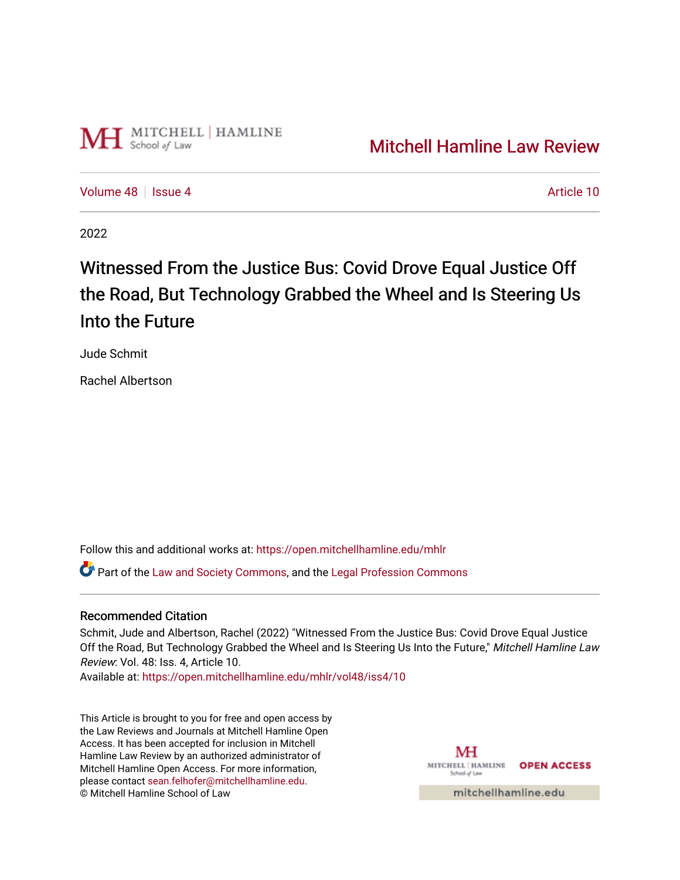

[Volume 48](https://open.mitchellhamline.edu/mhlr/vol48) | [Issue 4](https://open.mitchellhamline.edu/mhlr/vol48/iss4) Article 10

2022

# Witnessed From the Justice Bus: Covid Drove Equal Justice Off the Road, But Technology Grabbed the Wheel and Is Steering Us Into the Future

Jude Schmit

Rachel Albertson

Follow this and additional works at: [https://open.mitchellhamline.edu/mhlr](https://open.mitchellhamline.edu/mhlr?utm_source=open.mitchellhamline.edu%2Fmhlr%2Fvol48%2Fiss4%2F10&utm_medium=PDF&utm_campaign=PDFCoverPages) 

**C**<sup> $\bullet$ </sup> Part of the [Law and Society Commons](https://network.bepress.com/hgg/discipline/853?utm_source=open.mitchellhamline.edu%2Fmhlr%2Fvol48%2Fiss4%2F10&utm_medium=PDF&utm_campaign=PDFCoverPages), and the Legal Profession Commons

## Recommended Citation

Schmit, Jude and Albertson, Rachel (2022) "Witnessed From the Justice Bus: Covid Drove Equal Justice Off the Road, But Technology Grabbed the Wheel and Is Steering Us Into the Future," Mitchell Hamline Law Review: Vol. 48: Iss. 4, Article 10.

Available at: [https://open.mitchellhamline.edu/mhlr/vol48/iss4/10](https://open.mitchellhamline.edu/mhlr/vol48/iss4/10?utm_source=open.mitchellhamline.edu%2Fmhlr%2Fvol48%2Fiss4%2F10&utm_medium=PDF&utm_campaign=PDFCoverPages)

This Article is brought to you for free and open access by the Law Reviews and Journals at Mitchell Hamline Open Access. It has been accepted for inclusion in Mitchell Hamline Law Review by an authorized administrator of Mitchell Hamline Open Access. For more information, please contact [sean.felhofer@mitchellhamline.edu.](mailto:sean.felhofer@mitchellhamline.edu) © Mitchell Hamline School of Law

MH MITCHELL HAMLINE OPEN ACCESS School of Lav

mitchellhamline.edu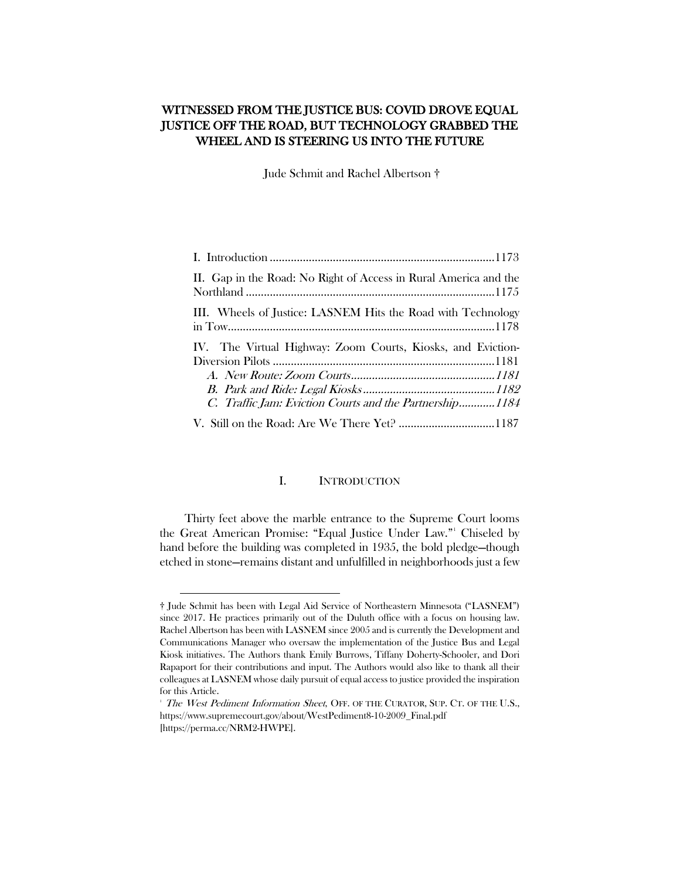## WITNESSED FROM THE JUSTICE BUS: COVID DROVE EQUAL JUSTICE OFF THE ROAD, BUT TECHNOLOGY GRABBED THE WHEEL AND IS STEERING US INTO THE FUTURE

Jude Schmit and Rachel Albertson †

| II. Gap in the Road: No Right of Access in Rural America and the                                                       |
|------------------------------------------------------------------------------------------------------------------------|
| III. Wheels of Justice: LASNEM Hits the Road with Technology                                                           |
| IV. The Virtual Highway: Zoom Courts, Kiosks, and Eviction-<br>C. Traffic Jam: Eviction Courts and the Partnership1184 |
|                                                                                                                        |

#### I. INTRODUCTION

<span id="page-1-0"></span>Thirty feet above the marble entrance to the Supreme Court looms the Great American Promise: "Equal Justice Under Law."[1](#page-1-1) Chiseled by hand before the building was completed in 1935, the bold pledge—though etched in stone—remains distant and unfulfilled in neighborhoods just a few

<span id="page-1-1"></span><sup>†</sup> Jude Schmit has been with Legal Aid Service of Northeastern Minnesota ("LASNEM") since 2017. He practices primarily out of the Duluth office with a focus on housing law. Rachel Albertson has been with LASNEM since 2005 and is currently the Development and Communications Manager who oversaw the implementation of the Justice Bus and Legal Kiosk initiatives. The Authors thank Emily Burrows, Tiffany Doherty-Schooler, and Dori Rapaport for their contributions and input. The Authors would also like to thank all their colleagues at LASNEM whose daily pursuit of equal access to justice provided the inspiration for this Article.

<sup>&</sup>lt;sup>1</sup> The West Pediment Information Sheet, OFF. OF THE CURATOR, SUP. CT. OF THE U.S., https://www.supremecourt.gov/about/WestPediment8-10-2009\_Final.pdf [https://perma.cc/NRM2-HWPE].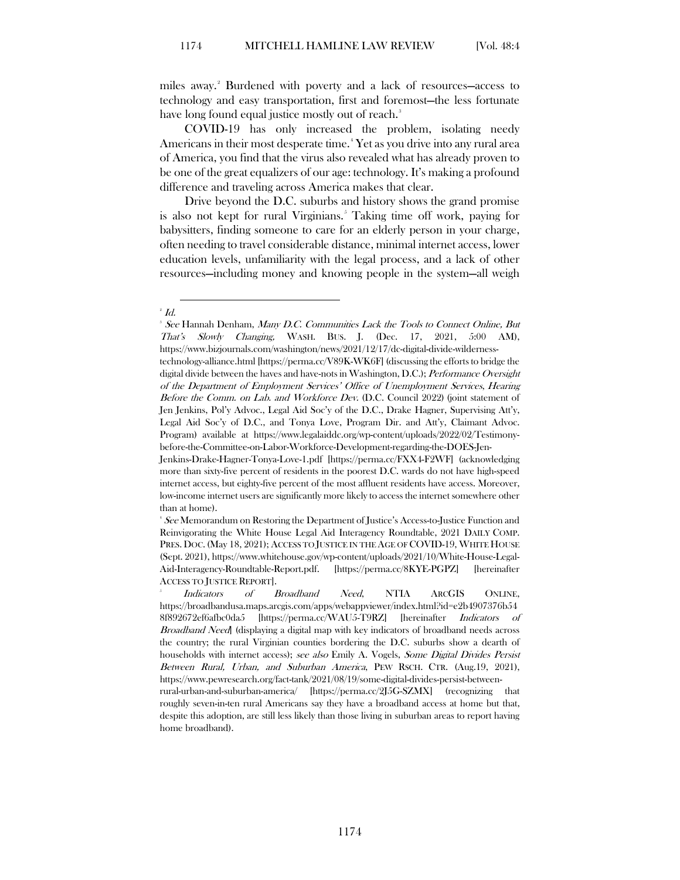miles away. [2](#page-2-0) Burdened with poverty and a lack of resources—access to technology and easy transportation, first and foremost—the less fortunate have long found equal justice mostly out of reach.<sup>[3](#page-2-1)</sup>

COVID-19 has only increased the problem, isolating needy Americans in their most desperate time. [4](#page-2-2) Yet as you drive into any rural area of America, you find that the virus also revealed what has already proven to be one of the great equalizers of our age: technology. It's making a profound difference and traveling across America makes that clear.

Drive beyond the D.C. suburbs and history shows the grand promise is also not kept for rural Virginians.<sup>[5](#page-2-3)</sup> Taking time off work, paying for babysitters, finding someone to care for an elderly person in your charge, often needing to travel considerable distance, minimal internet access, lower education levels, unfamiliarity with the legal process, and a lack of other resources—including money and knowing people in the system—all weigh

#### $^{\scriptscriptstyle 2}$  Id.

<span id="page-2-1"></span><span id="page-2-0"></span> $\,^3$  See Hannah Denham, *Many D.C. Communities Lack the Tools to Connect Online, But* That's Slowly Changing, WASH. BUS. J. (Dec. 17, 2021, 5:00 AM), https://www.bizjournals.com/washington/news/2021/12/17/dc-digital-divide-wilderness-

technology-alliance.html [https://perma.cc/V89K-WK6F] (discussing the efforts to bridge the digital divide between the haves and have-nots in Washington, D.C.); Performance Oversight of the Department of Employment Services' Office of Unemployment Services, Hearing Before the Comm. on Lab. and Workforce Dev. (D.C. Council 2022) (joint statement of Jen Jenkins, Pol'y Advoc., Legal Aid Soc'y of the D.C., Drake Hagner, Supervising Att'y, Legal Aid Soc'y of D.C., and Tonya Love, Program Dir. and Att'y, Claimant Advoc. Program) available at https://www.legalaiddc.org/wp-content/uploads/2022/02/Testimonybefore-the-Committee-on-Labor-Workforce-Development-regarding-the-DOES-Jen-

Jenkins-Drake-Hagner-Tonya-Love-1.pdf [https://perma.cc/FXX4-F2WF] (acknowledging more than sixty-five percent of residents in the poorest D.C. wards do not have high-speed internet access, but eighty-five percent of the most affluent residents have access. Moreover, low-income internet users are significantly more likely to access the internet somewhere other than at home).

<span id="page-2-2"></span><sup>&</sup>lt;sup>4</sup> See Memorandum on Restoring the Department of Justice's Access-to-Justice Function and Reinvigorating the White House Legal Aid Interagency Roundtable, 2021 DAILY COMP. PRES. DOC. (May 18, 2021); ACCESS TO JUSTICE IN THE AGE OF COVID-19, WHITE HOUSE (Sept. 2021), https://www.whitehouse.gov/wp-content/uploads/2021/10/White-House-Legal-Aid-Interagency-Roundtable-Report.pdf. [https://perma.cc/8KYE-PGPZ] [hereinafter ACCESS TO JUSTICE REPORT].

<span id="page-2-3"></span>Broadband Need, NTIA ARCGIS ONLINE, https://broadbandusa.maps.arcgis.com/apps/webappviewer/index.html?id=e2b4907376b54 8f892672ef6afbc0da5 [https://perma.cc/WAU5-T9RZ] [hereinafter Indicators of Broadband Need] (displaying a digital map with key indicators of broadband needs across the country; the rural Virginian counties bordering the D.C. suburbs show a dearth of households with internet access); see also Emily A. Vogels, Some Digital Divides Persist Between Rural, Urban, and Suburban America, PEW RSCH. CTR. (Aug.19, 2021), https://www.pewresearch.org/fact-tank/2021/08/19/some-digital-divides-persist-between-

rural-urban-and-suburban-america/ [https://perma.cc/2J5G-SZMX] (recognizing that roughly seven-in-ten rural Americans say they have a broadband access at home but that, despite this adoption, are still less likely than those living in suburban areas to report having home broadband).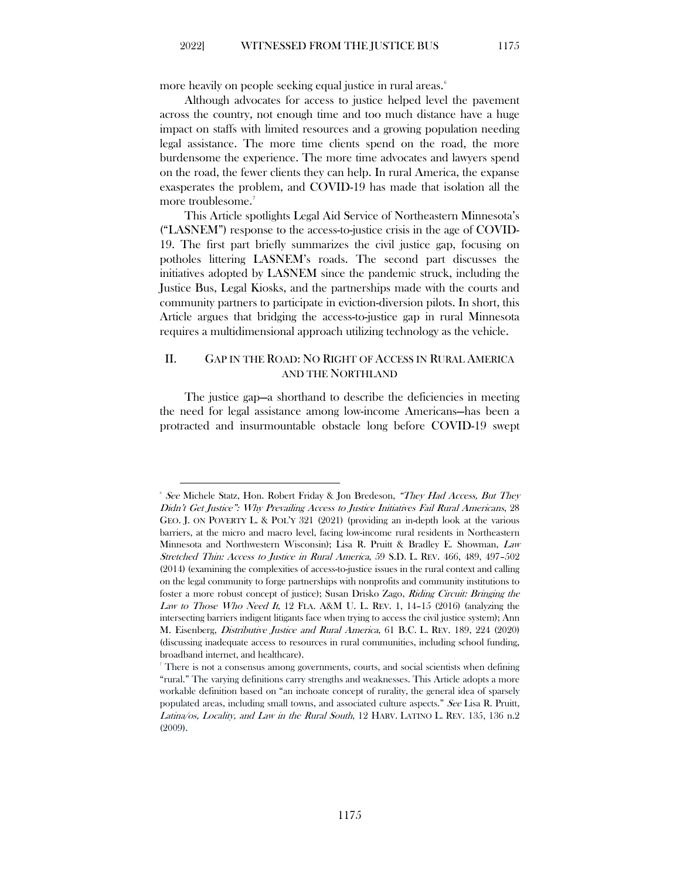more heavily on people seeking equal justice in rural areas.<sup>[6](#page-3-1)</sup>

Although advocates for access to justice helped level the pavement across the country, not enough time and too much distance have a huge impact on staffs with limited resources and a growing population needing legal assistance. The more time clients spend on the road, the more burdensome the experience. The more time advocates and lawyers spend on the road, the fewer clients they can help. In rural America, the expanse exasperates the problem, and COVID-19 has made that isolation all the more troublesome.<sup>[7](#page-3-2)</sup>

This Article spotlights Legal Aid Service of Northeastern Minnesota's ("LASNEM") response to the access-to-justice crisis in the age of COVID-19. The first part briefly summarizes the civil justice gap, focusing on potholes littering LASNEM's roads. The second part discusses the initiatives adopted by LASNEM since the pandemic struck, including the Justice Bus, Legal Kiosks, and the partnerships made with the courts and community partners to participate in eviction-diversion pilots. In short, this Article argues that bridging the access-to-justice gap in rural Minnesota requires a multidimensional approach utilizing technology as the vehicle.

## <span id="page-3-0"></span>II. GAP IN THE ROAD: NO RIGHT OF ACCESS IN RURAL AMERICA AND THE NORTHLAND

The justice gap—a shorthand to describe the deficiencies in meeting the need for legal assistance among low-income Americans—has been a protracted and insurmountable obstacle long before COVID-19 swept

<span id="page-3-1"></span><sup>&</sup>lt;sup>6</sup> See Michele Statz, Hon. Robert Friday & Jon Bredeson, *"They Had Access, But They* Didn't Get Justice": Why Prevailing Access to Justice Initiatives Fail Rural Americans, 28 GEO. J. ON POVERTY L. & POL'Y 321 (2021) (providing an in-depth look at the various barriers, at the micro and macro level, facing low-income rural residents in Northeastern Minnesota and Northwestern Wisconsin); Lisa R. Pruitt & Bradley E. Showman, Law Stretched Thin: Access to Justice in Rural America, 59 S.D. L. REV. 466, 489, 497–502 (2014) (examining the complexities of access-to-justice issues in the rural context and calling on the legal community to forge partnerships with nonprofits and community institutions to foster a more robust concept of justice); Susan Drisko Zago, Riding Circuit: Bringing the Law to Those Who Need It,  $12$  FLA. A&M U. L. REV. 1,  $14-15$  (2016) (analyzing the intersecting barriers indigent litigants face when trying to access the civil justice system); Ann M. Eisenberg, Distributive Justice and Rural America, 61 B.C. L. REV. 189, 224 (2020) (discussing inadequate access to resources in rural communities, including school funding, broadband internet, and healthcare). 7

<span id="page-3-2"></span>There is not a consensus among governments, courts, and social scientists when defining "rural." The varying definitions carry strengths and weaknesses. This Article adopts a more workable definition based on "an inchoate concept of rurality, the general idea of sparsely populated areas, including small towns, and associated culture aspects." See Lisa R. Pruitt, Latina/os, Locality, and Law in the Rural South, 12 HARV. LATINO L. REV. 135, 136 n.2 (2009).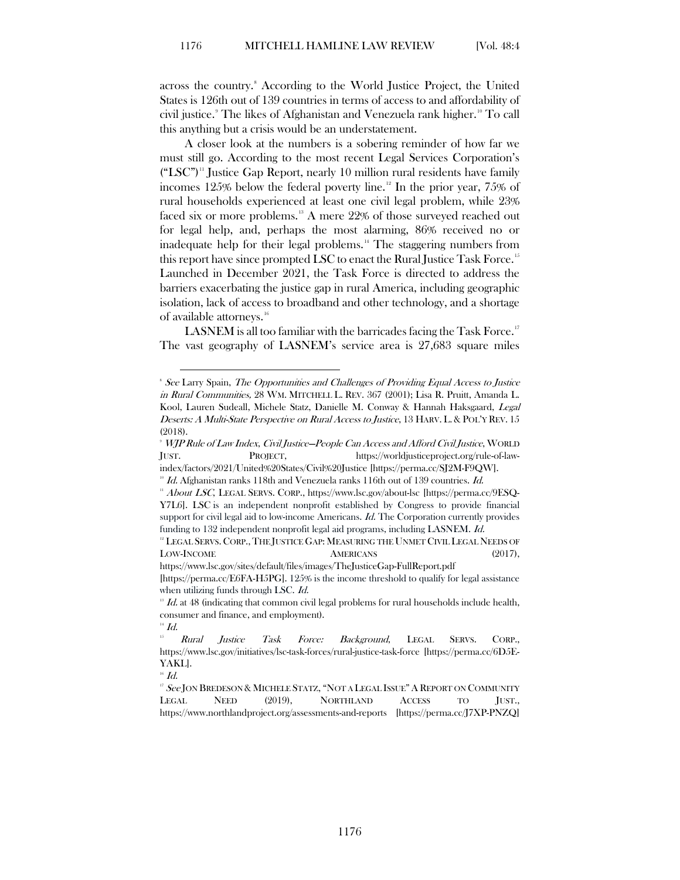across the country.<sup>[8](#page-4-0)</sup> According to the World Justice Project, the United States is 126th out of 139 countries in terms of access to and affordability of civil justice. [9](#page-4-1) The likes of Afghanistan and Venezuela rank higher.[10](#page-4-2) To call this anything but a crisis would be an understatement.

A closer look at the numbers is a sobering reminder of how far we must still go. According to the most recent Legal Services Corporation's  $("LSC")$ <sup>n</sup> Justice Gap Report, nearly 10 million rural residents have family incomes [12](#page-4-4)5% below the federal poverty line.<sup>12</sup> In the prior year, 75% of rural households experienced at least one civil legal problem, while 23% faced six or more problems.<sup>[13](#page-4-5)</sup> A mere 22% of those surveyed reached out for legal help, and, perhaps the most alarming, 86% received no or inadequate help for their legal problems.<sup>[14](#page-4-6)</sup> The staggering numbers from this report have since prompted LSC to enact the Rural Justice Task Force.<sup>[15](#page-4-7)</sup> Launched in December 2021, the Task Force is directed to address the barriers exacerbating the justice gap in rural America, including geographic isolation, lack of access to broadband and other technology, and a shortage of available attorneys.<sup>[16](#page-4-8)</sup>

LASNEM is all too familiar with the barricades facing the Task Force.<sup>[17](#page-4-9)</sup> The vast geography of LASNEM's service area is 27,683 square miles

<span id="page-4-8"></span>

<span id="page-4-0"></span><sup>&</sup>lt;sup>8</sup> See Larry Spain, The Opportunities and Challenges of Providing Equal Access to Justice in Rural Communities, 28 WM. MITCHELL L. REV. 367 (2001); Lisa R. Pruitt, Amanda L. Kool, Lauren Sudeall, Michele Statz, Danielle M. Conway & Hannah Haksgaard, Legal Deserts: A Multi-State Perspective on Rural Access to Justice, 13 HARV. L. & POL'Y REV. 15 (2018).

<span id="page-4-1"></span><sup>9</sup> WJP Rule of Law Index, Civil Justice—People Can Access and Afford Civil Justice, WORLD JUST. PROJECT, https://worldjusticeproject.org/rule-of-law-

<span id="page-4-2"></span>index/factors/2021/United%20States/Civil%20Justice [https://perma.cc/SJ2M-F9QW].<br><sup>10</sup> Id. Afghanistan ranks 118th and Venezuela ranks 116th out of 139 countries. Id.

<span id="page-4-3"></span><sup>11</sup> About LSC, LEGAL SERVS. CORP., https://www.lsc.gov/about-lsc [https://perma.cc/9ESQ-Y7L6]. LSC is an independent nonprofit established by Congress to provide financial support for civil legal aid to low-income Americans. *Id.* The Corporation currently provides funding to 132 independent nonprofit legal aid programs, including LASNEM. Id.

<span id="page-4-4"></span><sup>&</sup>lt;sup>12</sup> LEGAL SERVS. CORP., THE JUSTICE GAP: MEASURING THE UNMET CIVIL LEGAL NEEDS OF LOW-INCOME AMERICANS (2017),

https://www.lsc.gov/sites/default/files/images/TheJusticeGap-FullReport.pdf

<sup>[</sup>https://perma.cc/E6FA-H5PG]. 125% is the income threshold to qualify for legal assistance when utilizing funds through LSC. Id.

<span id="page-4-5"></span> $13$  Id. at 48 (indicating that common civil legal problems for rural households include health, consumer and finance, and employment). <sup>14</sup> *Id.* 

<span id="page-4-7"></span><span id="page-4-6"></span><sup>&</sup>lt;sup>15</sup> Rural Justice Task Force: Background, LEGAL SERVS. CORP., https://www.lsc.gov/initiatives/lsc-task-forces/rural-justice-task-force [https://perma.cc/6D5E-YAKL].<br> $^{16}$  *Id.* 

<span id="page-4-9"></span><sup>&</sup>lt;sup>17</sup> See JON BREDESON & MICHELE STATZ, "NOT A LEGAL ISSUE" A REPORT ON COMMUNITY LEGAL NEED (2019), NORTHLAND ACCESS TO JUST., https://www.northlandproject.org/assessments-and-reports [https://perma.cc/J7XP-PNZQ]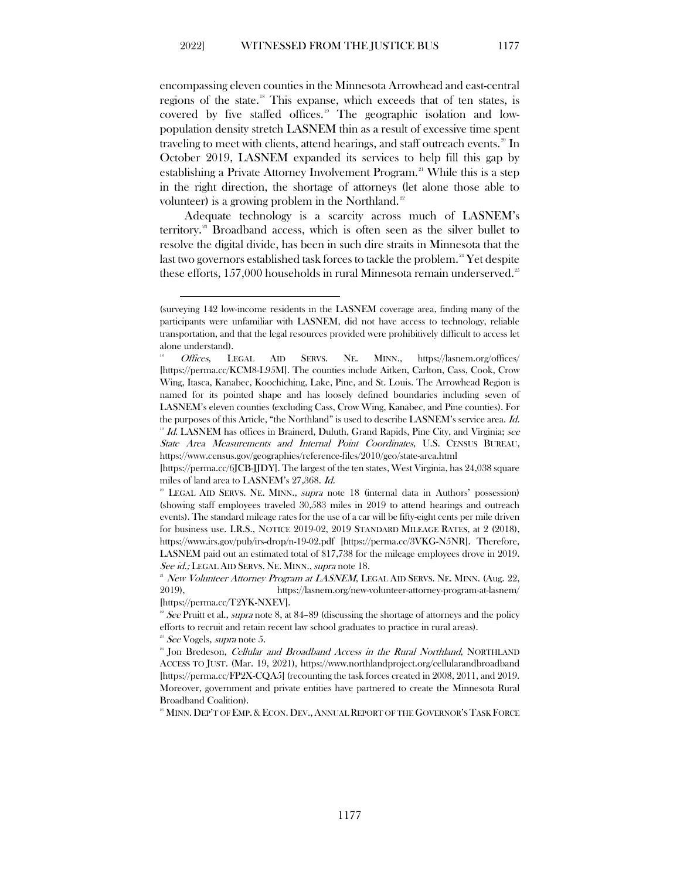encompassing eleven counties in the Minnesota Arrowhead and east-central regions of the state.<sup>[18](#page-5-0)</sup> This expanse, which exceeds that of ten states, is covered by five staffed offices.[19](#page-5-1) The geographic isolation and lowpopulation density stretch LASNEM thin as a result of excessive time spent traveling to meet with clients, attend hearings, and staff outreach events.  $^{20}$  $^{20}$  $^{20}$  In October 2019, LASNEM expanded its services to help fill this gap by establishing a Private Attorney Involvement Program.<sup>21</sup> While this is a step in the right direction, the shortage of attorneys (let alone those able to volunteer) is a growing problem in the Northland.<sup>[22](#page-5-4)</sup>

Adequate technology is a scarcity across much of LASNEM's territory.<sup>[23](#page-5-5)</sup> Broadband access, which is often seen as the silver bullet to resolve the digital divide, has been in such dire straits in Minnesota that the last two governors established task forces to tackle the problem.<sup>[24](#page-5-6)</sup> Yet despite these efforts,  $157,000$  households in rural Minnesota remain underserved.<sup>[25](#page-5-7)</sup>

<span id="page-5-7"></span><sup>25</sup> MINN. DEP'T OF EMP. & ECON. DEV., ANNUAL REPORT OF THE GOVERNOR'S TASK FORCE

<sup>(</sup>surveying 142 low-income residents in the LASNEM coverage area, finding many of the participants were unfamiliar with LASNEM, did not have access to technology, reliable transportation, and that the legal resources provided were prohibitively difficult to access let alone understand).<br><sup>18</sup> Offices, LEGAL AID SERVS. NE. MINN., https://lasnem.org/offices/

<span id="page-5-0"></span><sup>[</sup>https://perma.cc/KCM8-L95M]. The counties include Aitken, Carlton, Cass, Cook, Crow Wing, Itasca, Kanabec, Koochiching, Lake, Pine, and St. Louis. The Arrowhead Region is named for its pointed shape and has loosely defined boundaries including seven of LASNEM's eleven counties (excluding Cass, Crow Wing, Kanabec, and Pine counties). For the purposes of this Article, "the Northland" is used to describe LASNEM's service area. Id.  $19$  Id. LASNEM has offices in Brainerd, Duluth, Grand Rapids, Pine City, and Virginia; see

<span id="page-5-1"></span>State Area Measurements and Internal Point Coordinates, U.S. CENSUS BUREAU, https://www.census.gov/geographies/reference-files/2010/geo/state-area.html

<sup>[</sup>https://perma.cc/6JCB-JJDY]. The largest of the ten states, West Virginia, has 24,038 square miles of land area to LASNEM's 27,368. Id. 20 United at a in Authors' possession)

<span id="page-5-2"></span><sup>(</sup>showing staff employees traveled 30,583 miles in 2019 to attend hearings and outreach events). The standard mileage rates for the use of a car will be fifty-eight cents per mile driven for business use. I.R.S., NOTICE 2019-02, 2019 STANDARD MILEAGE RATES, at 2 (2018), https://www.irs.gov/pub/irs-drop/n-19-02.pdf [https://perma.cc/3VKG-N5NR]. Therefore, LASNEM paid out an estimated total of \$17,738 for the mileage employees drove in 2019. See id.; LEGAL AID SERVS. NE. MINN., supra note 18.

<span id="page-5-3"></span> $21$  New Volunteer Attorney Program at LASNEM, LEGAL AID SERVS. NE. MINN. (Aug. 22, 2019), https://lasnem.org/new-volunteer-attorney-program-at-lasnem/

<span id="page-5-4"></span><sup>[</sup>https://perma.cc/T2YK-NXEV].<br><sup>22</sup> See Pruitt et al., *supra* note 8, at 84–89 (discussing the shortage of attorneys and the policy efforts to recruit and retain recent law school graduates to practice in rural areas).<br><sup>23</sup> See Vogels, *supra* note 5.<br><sup>24</sup> Jon Bredeson, *Cellular and Broadband Access in the Rural Northland*, NORTHLAND

<span id="page-5-5"></span>

<span id="page-5-6"></span>ACCESS TO JUST. (Mar. 19, 2021), https://www.northlandproject.org/cellularandbroadband [https://perma.cc/FP2X-CQA5] (recounting the task forces created in 2008, 2011, and 2019. Moreover, government and private entities have partnered to create the Minnesota Rural Broadband Coalition).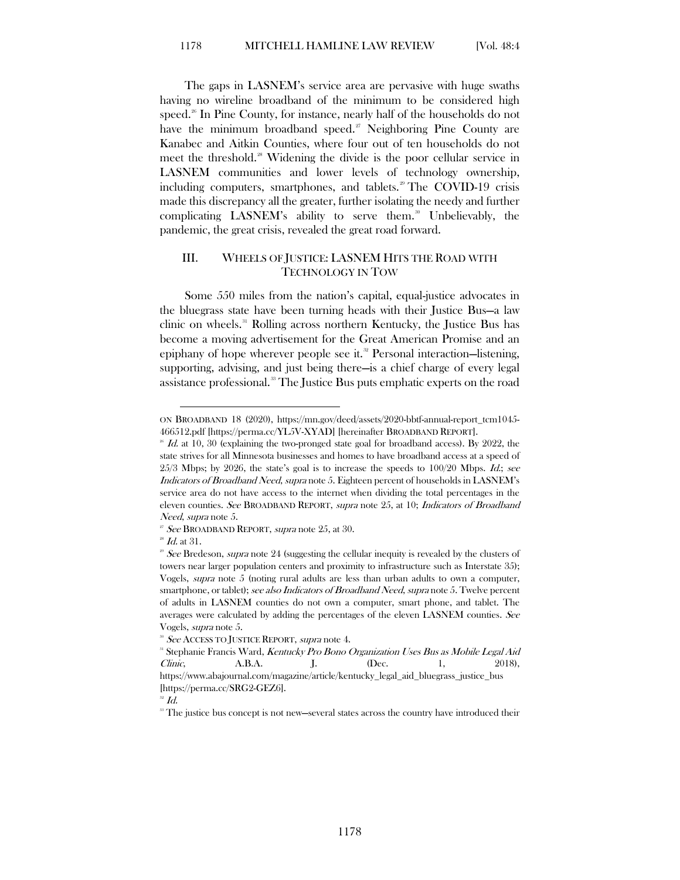The gaps in LASNEM's service area are pervasive with huge swaths having no wireline broadband of the minimum to be considered high speed.<sup>26</sup> In Pine County, for instance, nearly half of the households do not have the minimum broadband speed.<sup>[27](#page-6-2)</sup> Neighboring Pine County are Kanabec and Aitkin Counties, where four out of ten households do not meet the threshold.<sup>[28](#page-6-3)</sup> Widening the divide is the poor cellular service in LASNEM communities and lower levels of technology ownership, including computers, smartphones, and tablets.<sup>[29](#page-6-4)</sup> The COVID-19 crisis made this discrepancy all the greater, further isolating the needy and further complicating LASNEM's ability to serve them.<sup>[30](#page-6-5)</sup> Unbelievably, the pandemic, the great crisis, revealed the great road forward.

## <span id="page-6-0"></span>III. WHEELS OF JUSTICE: LASNEM HITS THE ROAD WITH TECHNOLOGY IN TOW

Some 550 miles from the nation's capital, equal-justice advocates in the bluegrass state have been turning heads with their Justice Bus—a law clinic on wheels.<sup>[31](#page-6-6)</sup> Rolling across northern Kentucky, the Justice Bus has become a moving advertisement for the Great American Promise and an epiphany of hope wherever people see it.<sup>[32](#page-6-7)</sup> Personal interaction—listening, supporting, advising, and just being there—is a chief charge of every legal assistance professional. [33](#page-6-8) The Justice Bus puts emphatic experts on the road

ON BROADBAND 18 (2020), https://mn.gov/deed/assets/2020-bbtf-annual-report\_tcm1045- 466512.pdf [https://perma.cc/YL5V-XYAD] [hereinafter BROADBAND REPORT].

<span id="page-6-1"></span> $^{26}$  Id. at 10, 30 (explaining the two-pronged state goal for broadband access). By 2022, the state strives for all Minnesota businesses and homes to have broadband access at a speed of  $25/3$  Mbps; by  $2026$ , the state's goal is to increase the speeds to  $100/20$  Mbps. *Id.*; see Indicators of Broadband Need, supra note 5. Eighteen percent of households in LASNEM's service area do not have access to the internet when dividing the total percentages in the eleven counties. See BROADBAND REPORT, supra note 25, at 10; Indicators of Broadband Need, supra note 5.

<span id="page-6-2"></span> $25$  See BROADBAND REPORT, supra note 25, at 30.

 $2^{\circ}$  *Id.* at 31.

<span id="page-6-4"></span><span id="page-6-3"></span> $29$  See Bredeson, supra note 24 (suggesting the cellular inequity is revealed by the clusters of towers near larger population centers and proximity to infrastructure such as Interstate 35); Vogels, supra note 5 (noting rural adults are less than urban adults to own a computer, smartphone, or tablet); see also Indicators of Broadband Need, supra note 5. Twelve percent of adults in LASNEM counties do not own a computer, smart phone, and tablet. The averages were calculated by adding the percentages of the eleven LASNEM counties. See Vogels, *supra* note 5.<br><sup>30</sup> See ACCESS TO JUSTICE REPORT, *supra* note 4.

<span id="page-6-6"></span><span id="page-6-5"></span><sup>&</sup>lt;sup>31</sup> Stephanie Francis Ward, Kentucky Pro Bono Organization Uses Bus as Mobile Legal Aid Clinic, A.B.A. J. (Dec. 1, 2018), https://www.abajournal.com/magazine/article/kentucky\_legal\_aid\_bluegrass\_justice\_bus [https://perma.cc/SRG2-GEZ6].<br><sup>32</sup> Id.

<span id="page-6-8"></span><span id="page-6-7"></span><sup>&</sup>lt;sup>38</sup> The justice bus concept is not new—several states across the country have introduced their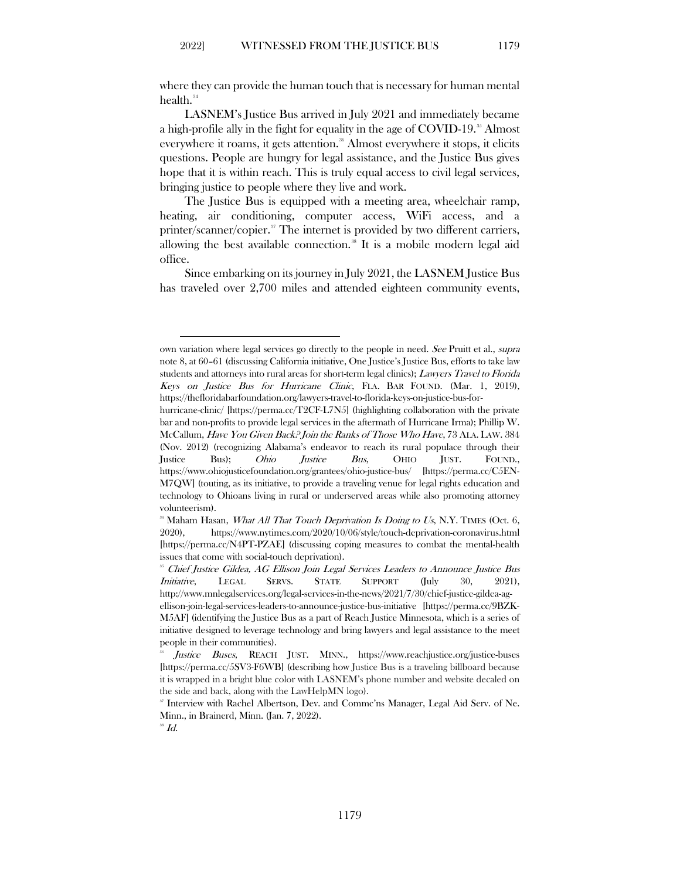where they can provide the human touch that is necessary for human mental health.<sup>[34](#page-7-0)</sup>

LASNEM's Justice Bus arrived in July 2021 and immediately became a high-profile ally in the fight for equality in the age of COVID-19.<sup>[35](#page-7-1)</sup> Almost everywhere it roams, it gets attention.<sup>[36](#page-7-2)</sup> Almost everywhere it stops, it elicits questions. People are hungry for legal assistance, and the Justice Bus gives hope that it is within reach. This is truly equal access to civil legal services, bringing justice to people where they live and work.

The Justice Bus is equipped with a meeting area, wheelchair ramp, heating, air conditioning, computer access, WiFi access, and a printer/scanner/copier.<sup>[37](#page-7-3)</sup> The internet is provided by two different carriers, allowing the best available connection.<sup>[38](#page-7-4)</sup> It is a mobile modern legal aid office.

Since embarking on its journey in July 2021, the LASNEM Justice Bus has traveled over 2,700 miles and attended eighteen community events,

own variation where legal services go directly to the people in need. See Pruitt et al., supra note 8, at 60–61 (discussing California initiative, One Justice's Justice Bus, efforts to take law students and attorneys into rural areas for short-term legal clinics); Lawyers Travel to Florida Keys on Justice Bus for Hurricane Clinic, FLA. BAR FOUND. (Mar. 1, 2019), https://thefloridabarfoundation.org/lawyers-travel-to-florida-keys-on-justice-bus-for-

hurricane-clinic/ [https://perma.cc/T2CF-L7N5] (highlighting collaboration with the private bar and non-profits to provide legal services in the aftermath of Hurricane Irma); Phillip W. McCallum, Have You Given Back? Join the Ranks of Those Who Have, 73 ALA. LAW. 384 (Nov. 2012) (recognizing Alabama's endeavor to reach its rural populace through their Justice Bus); Ohio Justice Bus, OHIO JUST. FOUND., https://www.ohiojusticefoundation.org/grantees/ohio-justice-bus/ [https://perma.cc/C5EN-M7QW] (touting, as its initiative, to provide a traveling venue for legal rights education and technology to Ohioans living in rural or underserved areas while also promoting attorney volunteerism).

<span id="page-7-0"></span> $34$  Maham Hasan, What All That Touch Deprivation Is Doing to Us, N.Y. TIMES (Oct. 6, 2020), https://www.nytimes.com/2020/10/06/style/touch-deprivation-coronavirus.html [https://perma.cc/N4PT-PZAE] (discussing coping measures to combat the mental-health issues that come with social-touch deprivation).<br><sup>35</sup> Chief Justice Gildea, AG Ellison Join Legal Services Leaders to Announce Justice Bus

<span id="page-7-1"></span>Initiative, LEGAL SERVS. STATE SUPPORT (July 30, 2021), http://www.mnlegalservices.org/legal-services-in-the-news/2021/7/30/chief-justice-gildea-agellison-join-legal-services-leaders-to-announce-justice-bus-initiative [https://perma.cc/9BZK-M5AF] (identifying the Justice Bus as a part of Reach Justice Minnesota, which is a series of initiative designed to leverage technology and bring lawyers and legal assistance to the meet

<span id="page-7-2"></span>people in their communities). Justice Buses, REACH JUST. MINN., https://www.reachjustice.org/justice-buses [https://perma.cc/5SV3-F6WB] (describing how Justice Bus is a traveling billboard because

it is wrapped in a bright blue color with LASNEM's phone number and website decaled on the side and back, along with the LawHelpMN logo).

<span id="page-7-3"></span><sup>37</sup> Interview with Rachel Albertson, Dev. and Commc'ns Manager, Legal Aid Serv. of Ne. Minn., in Brainerd, Minn. (Jan. 7, 2022).  $*$  Id.

<span id="page-7-4"></span>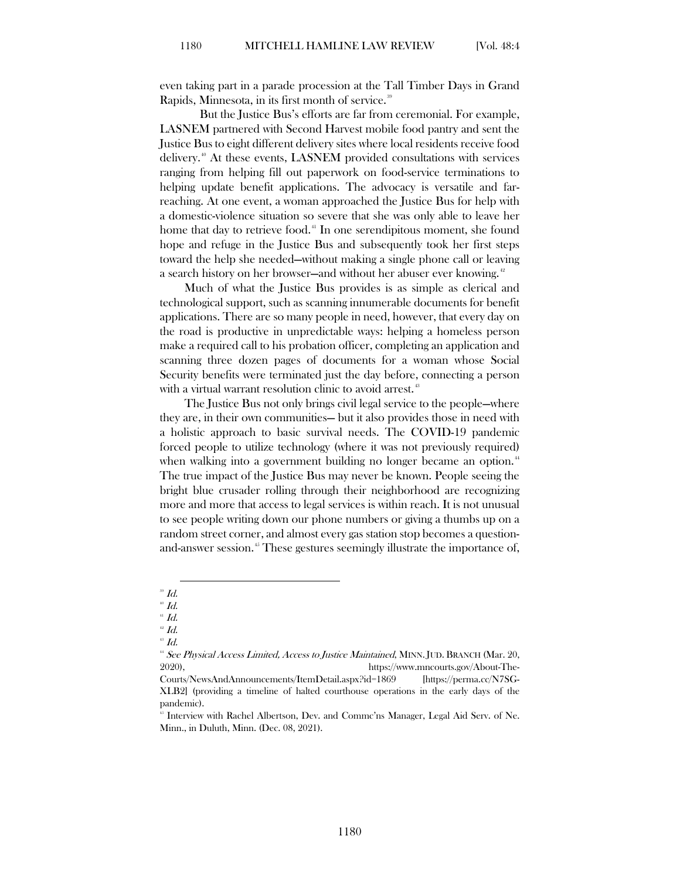even taking part in a parade procession at the Tall Timber Days in Grand Rapids, Minnesota, in its first month of service.<sup>[39](#page-8-0)</sup>

But the Justice Bus's efforts are far from ceremonial. For example, LASNEM partnered with Second Harvest mobile food pantry and sent the Justice Bus to eight different delivery sites where local residents receive food delivery.[40](#page-8-1) At these events, LASNEM provided consultations with services ranging from helping fill out paperwork on food-service terminations to helping update benefit applications. The advocacy is versatile and farreaching. At one event, a woman approached the Justice Bus for help with a domestic-violence situation so severe that she was only able to leave her home that day to retrieve food.<sup>[41](#page-8-2)</sup> In one serendipitous moment, she found hope and refuge in the Justice Bus and subsequently took her first steps toward the help she needed—without making a single phone call or leaving a search history on her browser—and without her abuser ever knowing.<sup>[42](#page-8-3)</sup>

Much of what the Justice Bus provides is as simple as clerical and technological support, such as scanning innumerable documents for benefit applications. There are so many people in need, however, that every day on the road is productive in unpredictable ways: helping a homeless person make a required call to his probation officer, completing an application and scanning three dozen pages of documents for a woman whose Social Security benefits were terminated just the day before, connecting a person with a virtual warrant resolution clinic to avoid arrest.<sup>[43](#page-8-4)</sup>

The Justice Bus not only brings civil legal service to the people—where they are, in their own communities— but it also provides those in need with a holistic approach to basic survival needs. The COVID-19 pandemic forced people to utilize technology (where it was not previously required) when walking into a government building no longer became an option.<sup>[44](#page-8-5)</sup> The true impact of the Justice Bus may never be known. People seeing the bright blue crusader rolling through their neighborhood are recognizing more and more that access to legal services is within reach. It is not unusual to see people writing down our phone numbers or giving a thumbs up on a random street corner, and almost every gas station stop becomes a question-and-answer session.<sup>[45](#page-8-6)</sup> These gestures seemingly illustrate the importance of,

<span id="page-8-0"></span> $^{\circ}\emph{Id}.$ 

 $^{40}$  Id.

<span id="page-8-3"></span><span id="page-8-2"></span><span id="page-8-1"></span> $41$  Id.

<span id="page-8-4"></span> $42$  Id.

 $^{\circ}$  Id.

<span id="page-8-5"></span><sup>&</sup>lt;sup>44</sup> See Physical Access Limited, Access to Justice Maintained, MINN. JUD. BRANCH (Mar. 20, 2020), https://www.mncourts.gov/About-The-

Courts/NewsAndAnnouncements/ItemDetail.aspx?id=1869 [https://perma.cc/N7SG-XLB2] (providing a timeline of halted courthouse operations in the early days of the pandemic).

<span id="page-8-6"></span><sup>45</sup> Interview with Rachel Albertson, Dev. and Commc'ns Manager, Legal Aid Serv. of Ne. Minn., in Duluth, Minn. (Dec. 08, 2021).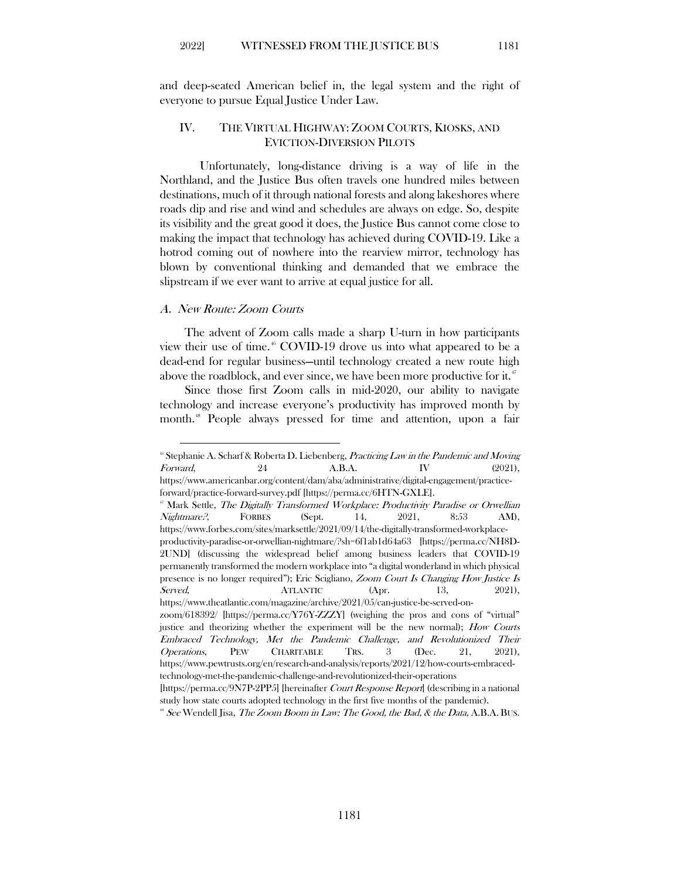<span id="page-9-0"></span>and deep-seated American belief in, the legal system and the right of everyone to pursue Equal Justice Under Law.

### IV. THE VIRTUAL HIGHWAY: ZOOM COURTS, KIOSKS, AND EVICTION-DIVERSION PILOTS

Unfortunately, long-distance driving is a way of life in the Northland, and the Justice Bus often travels one hundred miles between destinations, much of it through national forests and along lakeshores where roads dip and rise and wind and schedules are always on edge. So, despite its visibility and the great good it does, the Justice Bus cannot come close to making the impact that technology has achieved during COVID-19. Like a hotrod coming out of nowhere into the rearview mirror, technology has blown by conventional thinking and demanded that we embrace the slipstream if we ever want to arrive at equal justice for all.

#### <span id="page-9-1"></span>A. New Route: Zoom Courts

The advent of Zoom calls made a sharp U-turn in how participants view their use of time. [46](#page-9-2) COVID-19 drove us into what appeared to be a dead-end for regular business—until technology created a new route high above the roadblock, and ever since, we have been more productive for it.<sup>[47](#page-9-3)</sup>

Since those first Zoom calls in mid-2020, our ability to navigate technology and increase everyone's productivity has improved month by month. [48](#page-9-4) People always pressed for time and attention, upon a fair

<span id="page-9-2"></span> $*$  Stephanie A. Scharf & Roberta D. Liebenberg, Practicing Law in the Pandemic and Moving Forward, 24  $A.B.A.$  IV (2021), https://www.americanbar.org/content/dam/aba/administrative/digital-engagement/practice-

<span id="page-9-3"></span>forward/practice-forward-survey.pdf [https://perma.cc/6HTN-GXLE].<br>
<sup>#</sup> Mark Settle, *The Digitally Transformed Workplace: Productivity Paradise or Orwellian*  $Nightmare$ ?, FORBES (Sept. 14, 2021, 8:53 AM), https://www.forbes.com/sites/marksettle/2021/09/14/the-digitally-transformed-workplaceproductivity-paradise-or-orwellian-nightmare/?sh=6f1ab1d64a63 [https://perma.cc/NH8D-2UND] (discussing the widespread belief among business leaders that COVID-19 permanently transformed the modern workplace into "a digital wonderland in which physical presence is no longer required"); Eric Scigliano, Zoom Court Is Changing How Justice Is Served, ATLANTIC (Apr. 13, 2021), https://www.theatlantic.com/magazine/archive/2021/05/can-justice-be-served-onzoom/618392/ [https://perma.cc/Y76Y-ZZZY] (weighing the pros and cons of "virtual" justice and theorizing whether the experiment will be the new normal); How Courts Embraced Technology, Met the Pandemic Challenge, and Revolutionized Their Operations, PEW CHARITABLE TRS. 3 (Dec. 21, 2021), https://www.pewtrusts.org/en/research-and-analysis/reports/2021/12/how-courts-embracedtechnology-met-the-pandemic-challenge-and-revolutionized-their-operations [https://perma.cc/9N7P-2PP5] [hereinafter Court Response Report] (describing in a national

study how state courts adopted technology in the first five months of the pandemic).<br><sup>#</sup> See Wendell Jisa, *The Zoom Boom in Law: The Good, the Bad, & the Data*, A.B.A. BUS.

<span id="page-9-4"></span>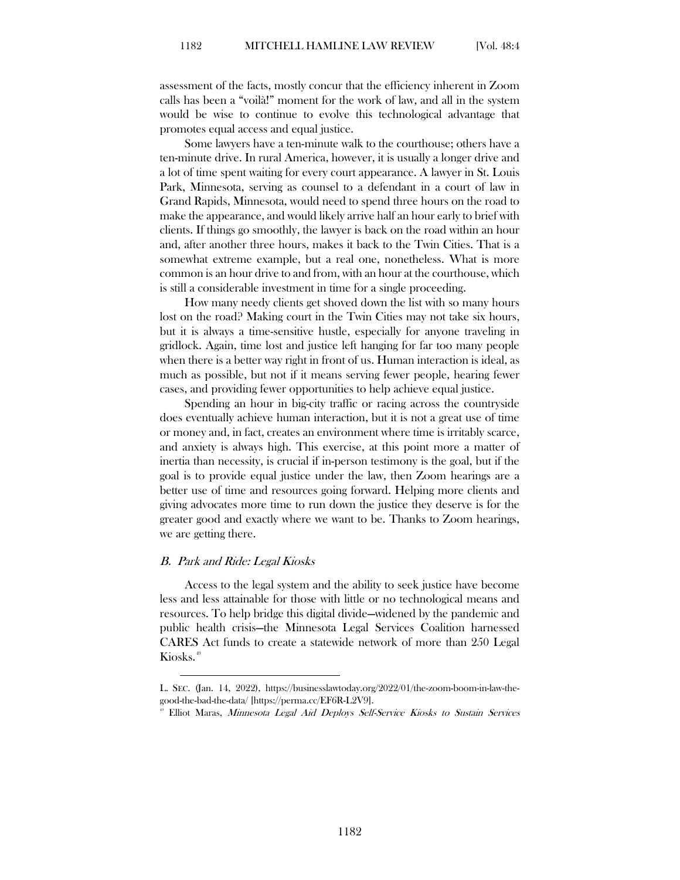assessment of the facts, mostly concur that the efficiency inherent in Zoom calls has been a "voilà!" moment for the work of law, and all in the system would be wise to continue to evolve this technological advantage that promotes equal access and equal justice.

Some lawyers have a ten-minute walk to the courthouse; others have a ten-minute drive. In rural America, however, it is usually a longer drive and a lot of time spent waiting for every court appearance. A lawyer in St. Louis Park, Minnesota, serving as counsel to a defendant in a court of law in Grand Rapids, Minnesota, would need to spend three hours on the road to make the appearance, and would likely arrive half an hour early to brief with clients. If things go smoothly, the lawyer is back on the road within an hour and, after another three hours, makes it back to the Twin Cities. That is a somewhat extreme example, but a real one, nonetheless. What is more common is an hour drive to and from, with an hour at the courthouse, which is still a considerable investment in time for a single proceeding.

How many needy clients get shoved down the list with so many hours lost on the road? Making court in the Twin Cities may not take six hours, but it is always a time-sensitive hustle, especially for anyone traveling in gridlock. Again, time lost and justice left hanging for far too many people when there is a better way right in front of us. Human interaction is ideal, as much as possible, but not if it means serving fewer people, hearing fewer cases, and providing fewer opportunities to help achieve equal justice.

Spending an hour in big-city traffic or racing across the countryside does eventually achieve human interaction, but it is not a great use of time or money and, in fact, creates an environment where time is irritably scarce, and anxiety is always high. This exercise, at this point more a matter of inertia than necessity, is crucial if in-person testimony is the goal, but if the goal is to provide equal justice under the law, then Zoom hearings are a better use of time and resources going forward. Helping more clients and giving advocates more time to run down the justice they deserve is for the greater good and exactly where we want to be. Thanks to Zoom hearings, we are getting there.

#### <span id="page-10-0"></span>B. Park and Ride: Legal Kiosks

Access to the legal system and the ability to seek justice have become less and less attainable for those with little or no technological means and resources. To help bridge this digital divide—widened by the pandemic and public health crisis—the Minnesota Legal Services Coalition harnessed CARES Act funds to create a statewide network of more than 250 Legal Kiosks.<sup>[49](#page-10-1)</sup>

<span id="page-10-1"></span>L. SEC. (Jan. 14, 2022), https://businesslawtoday.org/2022/01/the-zoom-boom-in-law-thegood-the-bad-the-data/ [https://perma.cc/EF6R-L2V9].<br><sup>®</sup> Elliot Maras, *Minnesota Legal Aid Deploys Self-Service Kiosks to Sustain Services*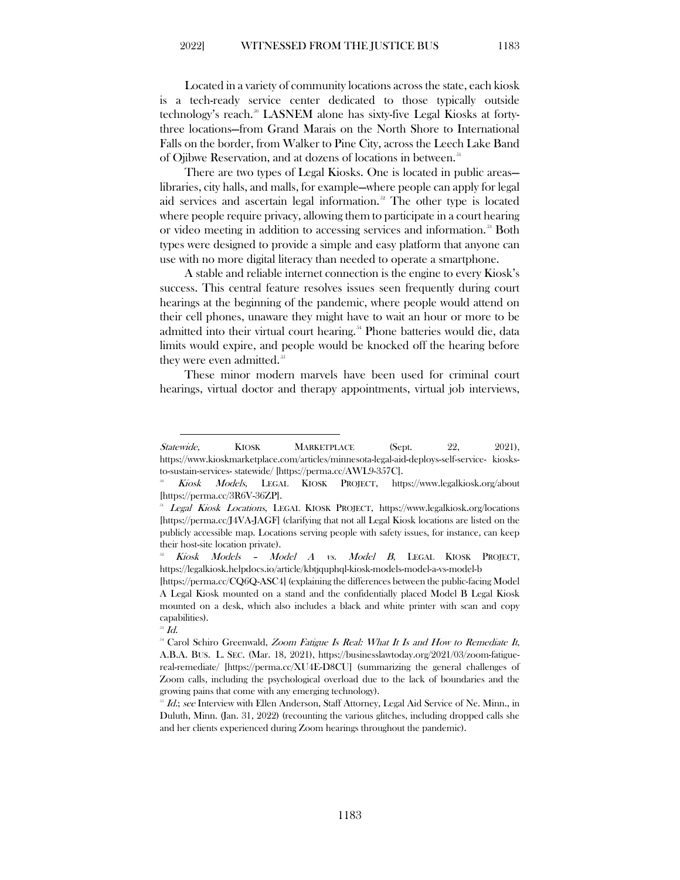Located in a variety of community locations across the state, each kiosk is a tech-ready service center dedicated to those typically outside technology's reach.<sup>[50](#page-11-0)</sup> LASNEM alone has sixty-five Legal Kiosks at fortythree locations—from Grand Marais on the North Shore to International Falls on the border, from Walker to Pine City, across the Leech Lake Band of Ojibwe Reservation, and at dozens of locations in between.<sup>[51](#page-11-1)</sup>

There are two types of Legal Kiosks. One is located in public areas libraries, city halls, and malls, for example—where people can apply for legal aid services and ascertain legal information.<sup>[52](#page-11-2)</sup> The other type is located where people require privacy, allowing them to participate in a court hearing or video meeting in addition to accessing services and information.<sup>33</sup> Both types were designed to provide a simple and easy platform that anyone can use with no more digital literacy than needed to operate a smartphone.

A stable and reliable internet connection is the engine to every Kiosk's success. This central feature resolves issues seen frequently during court hearings at the beginning of the pandemic, where people would attend on their cell phones, unaware they might have to wait an hour or more to be admitted into their virtual court hearing.<sup>[54](#page-11-4)</sup> Phone batteries would die, data limits would expire, and people would be knocked off the hearing before they were even admitted.<sup>[55](#page-11-5)</sup>

These minor modern marvels have been used for criminal court hearings, virtual doctor and therapy appointments, virtual job interviews,

Statewide, KIOSK MARKETPLACE (Sept. 22, 2021), https://www.kioskmarketplace.com/articles/minnesota-legal-aid-deploys-self-service- kiosks-

<span id="page-11-0"></span>to-sustain-services- statewide/ [https://perma.cc/AWL9-357C].<br>
<sup>30</sup> Kiosk Models, LEGAL KIOSK PROJECT, https://www.legalkiosk.org/about [https://perma.cc/3R6V-36ZP].<br><sup>31</sup> Legal Kiosk Locations, LEGAL KIOSK PROJECT, https://www.legalkiosk.org/locations

<span id="page-11-1"></span><sup>[</sup>https://perma.cc/J4VA-JAGF] (clarifying that not all Legal Kiosk locations are listed on the publicly accessible map. Locations serving people with safety issues, for instance, can keep their host-site location private).

<span id="page-11-2"></span><sup>52</sup> Kiosk Models – Model A vs. Model B, LEGAL KIOSK PROJECT, https://legalkiosk.helpdocs.io/article/kbtjquphql-kiosk-models-model-a-vs-model-b

<sup>[</sup>https://perma.cc/CQ6Q-ASC4] (explaining the differences between the public-facing Model A Legal Kiosk mounted on a stand and the confidentially placed Model B Legal Kiosk mounted on a desk, which also includes a black and white printer with scan and copy capabilities).

 $^{53}$   $\emph{Id.}$ 

<span id="page-11-4"></span><span id="page-11-3"></span><sup>&</sup>lt;sup>54</sup> Carol Schiro Greenwald, Zoom Fatigue Is Real: What It Is and How to Remediate It, A.B.A. BUS. L. SEC. (Mar. 18, 2021), https://businesslawtoday.org/2021/03/zoom-fatiguereal-remediate/ [https://perma.cc/XU4E-D8CU] (summarizing the general challenges of Zoom calls, including the psychological overload due to the lack of boundaries and the growing pains that come with any emerging technology).<br>  $^{55}$  *Id.*; see Interview with Ellen Anderson, Staff Attorney, Legal Aid Service of Ne. Minn., in

<span id="page-11-5"></span>Duluth, Minn. (Jan. 31, 2022) (recounting the various glitches, including dropped calls she and her clients experienced during Zoom hearings throughout the pandemic).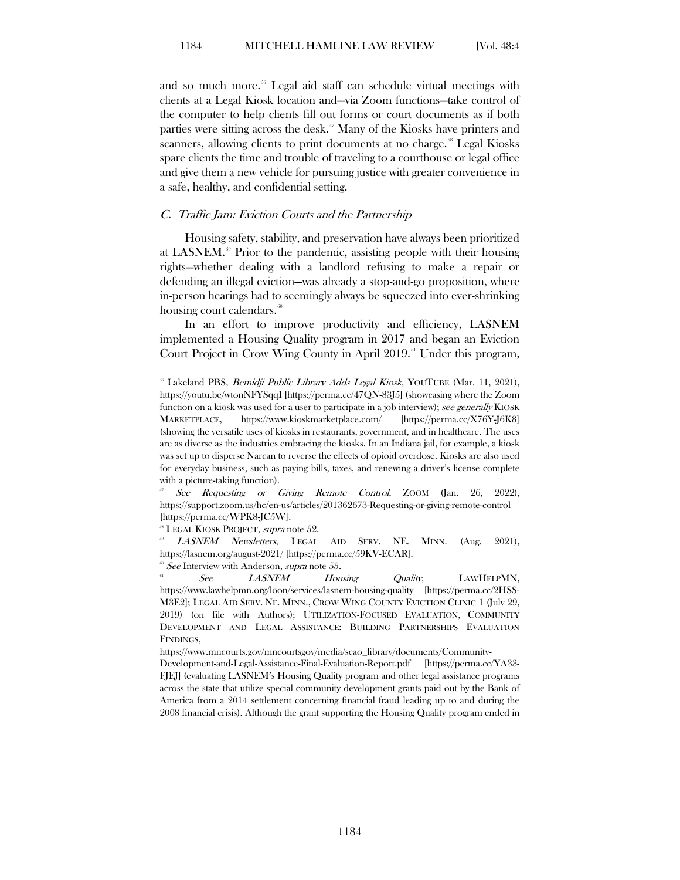and so much more.<sup>[56](#page-12-1)</sup> Legal aid staff can schedule virtual meetings with clients at a Legal Kiosk location and—via Zoom functions—take control of the computer to help clients fill out forms or court documents as if both parties were sitting across the desk.<sup>[57](#page-12-2)</sup> Many of the Kiosks have printers and scanners, allowing clients to print documents at no charge.<sup>[58](#page-12-3)</sup> Legal Kiosks spare clients the time and trouble of traveling to a courthouse or legal office and give them a new vehicle for pursuing justice with greater convenience in a safe, healthy, and confidential setting.

#### <span id="page-12-0"></span>C. Traffic Jam: Eviction Courts and the Partnership

Housing safety, stability, and preservation have always been prioritized at LASNEM. [59](#page-12-4) Prior to the pandemic, assisting people with their housing rights—whether dealing with a landlord refusing to make a repair or defending an illegal eviction—was already a stop-and-go proposition, where in-person hearings had to seemingly always be squeezed into ever-shrinking housing court calendars. $\frac{60}{50}$  $\frac{60}{50}$  $\frac{60}{50}$ 

In an effort to improve productivity and efficiency, LASNEM implemented a Housing Quality program in 2017 and began an Eviction Court Project in Crow Wing County in April  $2019$ .<sup> $a$ </sup> Under this program,

<span id="page-12-2"></span>https://support.zoom.us/hc/en-us/articles/201362673-Requesting-or-giving-remote-control [https://perma.cc/WPK8-JC5W].<br><sup>38</sup> LEGAL KIOSK PROJECT, *supra* note 52.<br><sup>29</sup> LASNEM Newsletters, LEGAL AID SERV. NE. MINN. (Aug. 2021),

<span id="page-12-4"></span><span id="page-12-3"></span>https://lasnem.org/august-2021/ [https://perma.cc/59KV-ECAR].<br>
<sup>®</sup> See Interview with Anderson, *supra* note 55.<br>
<sup>®</sup> See LASNEM Housing Quality, LAWHELPMN,

<span id="page-12-6"></span><span id="page-12-5"></span>https://www.lawhelpmn.org/loon/services/lasnem-housing-quality [https://perma.cc/2HSS-M3E2]; LEGAL AID SERV. NE. MINN., CROW WING COUNTY EVICTION CLINIC 1 (July 29, 2019) (on file with Authors); UTILIZATION-FOCUSED EVALUATION, COMMUNITY DEVELOPMENT AND LEGAL ASSISTANCE: BUILDING PARTNERSHIPS EVALUATION FINDINGS,

https://www.mncourts.gov/mncourtsgov/media/scao\_library/documents/Community-

Development-and-Legal-Assistance-Final-Evaluation-Report.pdf [https://perma.cc/YA33- FJEJ] (evaluating LASNEM's Housing Quality program and other legal assistance programs across the state that utilize special community development grants paid out by the Bank of America from a 2014 settlement concerning financial fraud leading up to and during the 2008 financial crisis). Although the grant supporting the Housing Quality program ended in

<span id="page-12-1"></span><sup>&</sup>lt;sup>56</sup> Lakeland PBS, *Bemidji Public Library Adds Legal Kiosk*, YOUTUBE (Mar. 11, 2021), https://youtu.be/wtonNFYSqqI [https://perma.cc/47QN-83J5] (showcasing where the Zoom function on a kiosk was used for a user to participate in a job interview); see generally KIOSK MARKETPLACE, https://www.kioskmarketplace.com/ [https://perma.cc/X76Y-J6K8] (showing the versatile uses of kiosks in restaurants, government, and in healthcare. The uses are as diverse as the industries embracing the kiosks. In an Indiana jail, for example, a kiosk was set up to disperse Narcan to reverse the effects of opioid overdose. Kiosks are also used for everyday business, such as paying bills, taxes, and renewing a driver's license complete with a picture-taking function).<br>  $\frac{57}{5}$  See Requesting or Giving Remote Control, ZOOM (Jan. 26, 2022),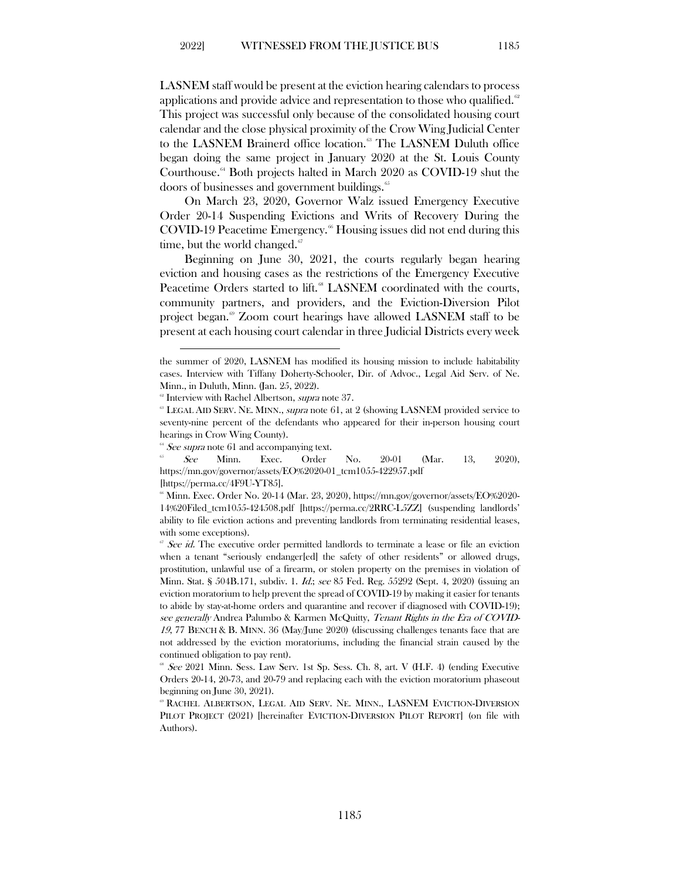LASNEM staff would be present at the eviction hearing calendars to process applications and provide advice and representation to those who qualified. $\degree$ This project was successful only because of the consolidated housing court calendar and the close physical proximity of the Crow Wing Judicial Center to the LASNEM Brainerd office location.<sup>[63](#page-13-1)</sup> The LASNEM Duluth office began doing the same project in January 2020 at the St. Louis County Courthouse[.64](#page-13-2) Both projects halted in March 2020 as COVID-19 shut the doors of businesses and government buildings.  $65$ 

On March 23, 2020, Governor Walz issued Emergency Executive Order 20-14 Suspending Evictions and Writs of Recovery During the COVID-19 Peacetime Emergency.<sup>[66](#page-13-4)</sup> Housing issues did not end during this time, but the world changed.<sup>[67](#page-13-5)</sup>

Beginning on June 30, 2021, the courts regularly began hearing eviction and housing cases as the restrictions of the Emergency Executive Peacetime Orders started to lift.<sup>[68](#page-13-6)</sup> LASNEM coordinated with the courts, community partners, and providers, and the Eviction-Diversion Pilot project began.<sup>®</sup> Zoom court hearings have allowed LASNEM staff to be present at each housing court calendar in three Judicial Districts every week

<span id="page-13-3"></span><span id="page-13-2"></span>https://mn.gov/governor/assets/EO%2020-01\_tcm1055-422957.pdf

[https://perma.cc/4F9U-YT85].

the summer of 2020, LASNEM has modified its housing mission to include habitability cases. Interview with Tiffany Doherty-Schooler, Dir. of Advoc., Legal Aid Serv. of Ne. Minn., in Duluth, Minn. (Jan. 25, 2022).<br>
<sup>®</sup> Interview with Rachel Albertson, *supra* note 37.

<span id="page-13-1"></span><span id="page-13-0"></span><sup>&</sup>lt;sup>63</sup> LEGAL AID SERV. NE. MINN., supra note 61, at 2 (showing LASNEM provided service to seventy-nine percent of the defendants who appeared for their in-person housing court hearings in Crow Wing County).<br>
<sup>64</sup> See supra note 61 and accompanying text.<br>
<sup>6</sup> See Minn. Exec. Order No. 20-01 (Mar. 13, 2020),

<span id="page-13-4"></span> $\textdegree$  Minn. Exec. Order No. 20-14 (Mar. 23, 2020), https://mn.gov/governor/assets/EO%2020-14%20Filed\_tcm1055-424508.pdf [https://perma.cc/2RRC-L5ZZ] (suspending landlords' ability to file eviction actions and preventing landlords from terminating residential leases, with some exceptions).

<span id="page-13-5"></span><sup>&</sup>lt;sup>67</sup> See id. The executive order permitted landlords to terminate a lease or file an eviction when a tenant "seriously endanger[ed] the safety of other residents" or allowed drugs, prostitution, unlawful use of a firearm, or stolen property on the premises in violation of Minn. Stat. § 504B.171, subdiv. 1. Id.; see 85 Fed. Reg. 55292 (Sept. 4, 2020) (issuing an eviction moratorium to help prevent the spread of COVID-19 by making it easier for tenants to abide by stay-at-home orders and quarantine and recover if diagnosed with COVID-19); see generally Andrea Palumbo & Karmen McQuitty, Tenant Rights in the Era of COVID-19, 77 BENCH & B. MINN. 36 (May/June 2020) (discussing challenges tenants face that are not addressed by the eviction moratoriums, including the financial strain caused by the continued obligation to pay rent).

<span id="page-13-6"></span> $68$  See 2021 Minn. Sess. Law Serv. 1st Sp. Sess. Ch. 8, art. V (H.F. 4) (ending Executive Orders 20-14, 20-73, and 20-79 and replacing each with the eviction moratorium phaseout beginning on June 30, 2021).

<span id="page-13-7"></span><sup>69</sup> RACHEL ALBERTSON, LEGAL AID SERV. NE. MINN., LASNEM EVICTION-DIVERSION PILOT PROJECT (2021) [hereinafter EVICTION-DIVERSION PILOT REPORT] (on file with Authors).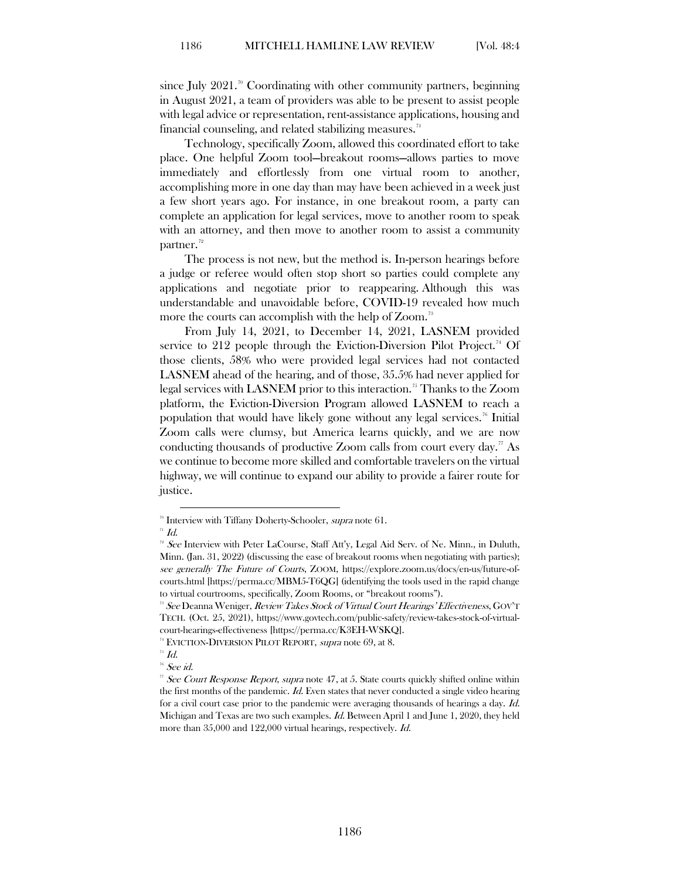since July  $2021$ .<sup>[70](#page-14-0)</sup> Coordinating with other community partners, beginning in August 2021, a team of providers was able to be present to assist people with legal advice or representation, rent-assistance applications, housing and financial counseling, and related stabilizing measures.<sup>[71](#page-14-1)</sup>

Technology, specifically Zoom, allowed this coordinated effort to take place. One helpful Zoom tool—breakout rooms—allows parties to move immediately and effortlessly from one virtual room to another, accomplishing more in one day than may have been achieved in a week just a few short years ago. For instance, in one breakout room, a party can complete an application for legal services, move to another room to speak with an attorney, and then move to another room to assist a community partner.<sup>[72](#page-14-2)</sup>

The process is not new, but the method is. In-person hearings before a judge or referee would often stop short so parties could complete any applications and negotiate prior to reappearing. Although this was understandable and unavoidable before, COVID-19 revealed how much more the courts can accomplish with the help of Zoom.<sup>[73](#page-14-3)</sup>

From July 14, 2021, to December 14, 2021, LASNEM provided service to 212 people through the Eviction-Diversion Pilot Project.<sup>[74](#page-14-4)</sup> Of those clients, 58% who were provided legal services had not contacted LASNEM ahead of the hearing, and of those, 35.5% had never applied for legal services with LASNEM prior to this interaction. [75](#page-14-5) Thanks to the Zoom platform, the Eviction-Diversion Program allowed LASNEM to reach a population that would have likely gone without any legal services.<sup>[76](#page-14-6)</sup> Initial Zoom calls were clumsy, but America learns quickly, and we are now conducting thousands of productive Zoom calls from court every day.<sup>[77](#page-14-7)</sup> As we continue to become more skilled and comfortable travelers on the virtual highway, we will continue to expand our ability to provide a fairer route for justice.

<span id="page-14-1"></span><span id="page-14-0"></span> $\overline{H}$  Id.

<span id="page-14-6"></span><span id="page-14-5"></span>

 $76$  See id.

<sup>&</sup>lt;sup>70</sup> Interview with Tiffany Doherty-Schooler, supra note 61.

<span id="page-14-2"></span> $2^2$  See Interview with Peter LaCourse, Staff Att'y, Legal Aid Serv. of Ne. Minn., in Duluth, Minn. (Jan. 31, 2022) (discussing the ease of breakout rooms when negotiating with parties); see generally The Future of Courts, ZOOM, https://explore.zoom.us/docs/en-us/future-ofcourts.html [https://perma.cc/MBM5-T6QG] (identifying the tools used in the rapid change to virtual courtrooms, specifically, Zoom Rooms, or "breakout rooms").

<span id="page-14-3"></span><sup>&</sup>lt;sup>33</sup> See Deanna Weniger, Review Takes Stock of Virtual Court Hearings' Effectiveness, GOV'T TECH. (Oct. 25, 2021), https://www.govtech.com/public-safety/review-takes-stock-of-virtualcourt-hearings-effectiveness [https://perma.cc/K3EH-WSKQ].

<span id="page-14-4"></span><sup>&</sup>lt;sup>74</sup> EVICTION-DIVERSION PILOT REPORT, *supra* note 69, at 8.<br><sup>75</sup> Id.

<span id="page-14-7"></span><sup>&</sup>lt;sup>77</sup> See Court Response Report, supra note 47, at 5. State courts quickly shifted online within the first months of the pandemic. Id. Even states that never conducted a single video hearing for a civil court case prior to the pandemic were averaging thousands of hearings a day. Id. Michigan and Texas are two such examples. Id. Between April 1 and June 1, 2020, they held more than 35,000 and 122,000 virtual hearings, respectively. Id.